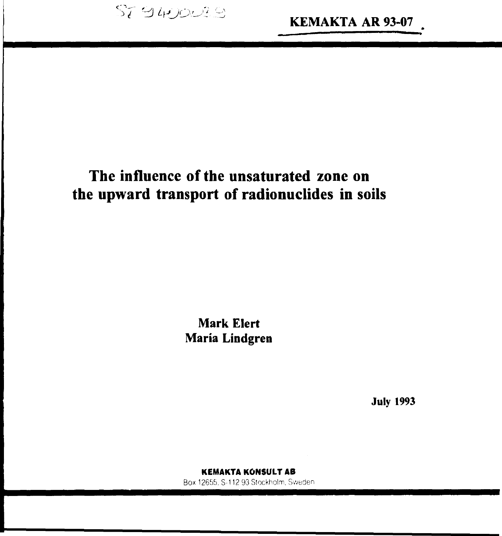SI SHOWES

# **The influence of the unsaturated zone on the upward transport of radionuclides in soils**

**Mark Elert Maria Lindgren**

**July 1993**

KEMAKTA KONSULT AB Box 12655. S-112 93 Stockholm, Sweden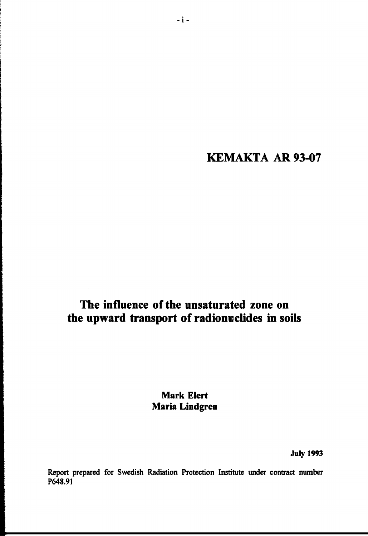**KEMAKTA AR 93-07**

# **The influence of the unsaturated zone on the upward transport of radionuclides in soils**

**Mark Elert Maria Lindgren**

**July 1993**

**Report prepared for Swedish Radiation Protection Institute under contract number P648.91**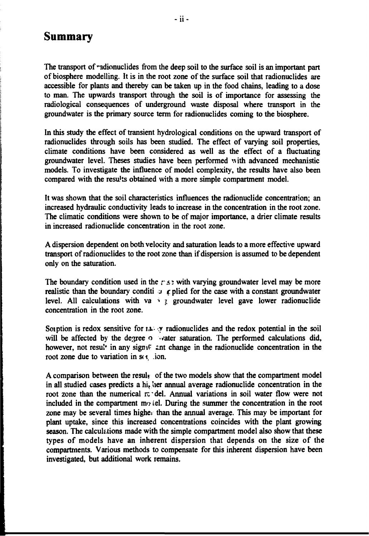# **Summary**

The transport of radionuclides from the deep soil to the surface soil is an important part **of biosphere modelling. It is in the root zone of the surface soil that radionuclides are accessible for plants and thereby can be taken up in the food chains, leading to a dose to man. The upwards transport through the soil is of importance for assessing the radiological consequences of underground waste disposal where transport in the groundwater is the primary source term for radionuclides coming to the biosphere.**

**In this study the effect of transient hydrological conditions on the upward transport of radionuclides through soils has been studied. The effect of varying soil properties, climate conditions have been considered as well as the effect of a fluctuating groundwater level. Theses studies have been performed uith advanced mechanistic models. To investigate the influence of model complexity, the results have also been compared with the results obtained with a more simple compartment model.**

**It was shown that the soil characteristics influences the radionuclide concentration; an increased hydraulic conductivity leads to increase in the concentration in the root zone. The climatic conditions were shown to be of major importance, a drier climate results in increased radionuclide concentration in the root zone.**

**A dispersion dependent on both velocity and saturation leads to a more effective upward transport of radionuclides to the root zone than if dispersion is assumed to be dependent only on the saturation.**

The boundary condition used in the  $r \leq 1$  with varying groundwater level may be more **realistic than the boundary conditi**  $J$   $\phi$  plied for the case with a constant groundwater **level. All calculations with va \*• j groundwater level gave lower radionuclide concentration in the root zone.**

Soiption is redox sensitive for  $\mathbf{a}$ , y radionuclides and the redox potential in the soil will be affected by the degree o water saturation. The performed calculations did, **however, not result in any sign if antichange in the radionuclide concentration in the root zone due to variation in s(t)** ion.

A comparison between the resul<sub>k</sub> of the two models show that the compartment model in all studied cases predicts a hi<sub>c</sub> her annual average radionuclide concentration in the root zone than the numerical retrieviel. Annual variations in soil water flow were not included in the compartment m<sub> $\sigma$ </sub> iel. During the summer the concentration in the root zone may be several times higher than the annual average. This may be important for **plant uptake, since this increased concentrations coincides with the plant growing season. The calculations made with the simple compartment model also show that these types of models have an inherent dispersion that depends on the size of the compartments. Various methods to compensate for this inherent dispersion have been investigated, but additional work remains.**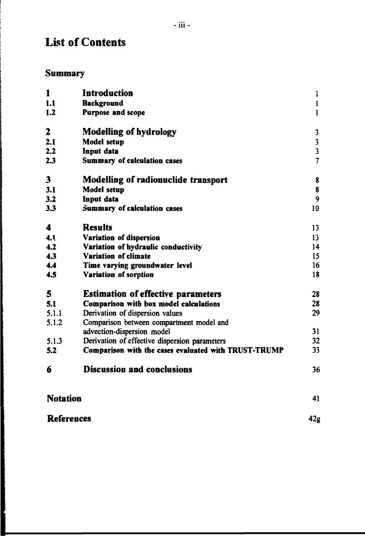# **List of Contents**

# **Summary**

ということに、このことに、このことに、このことに、このことに、このことに、このことに、このことに、このことには、このことに、このことに、このことに、このことに、このことに、このことに、このことに、「こ

| 1                 | <b>Introduction</b>                                  | ì                       |  |
|-------------------|------------------------------------------------------|-------------------------|--|
| 1.1               | <b>Background</b>                                    | $\mathbf{l}$            |  |
| 1.2               | <b>Purpose and scope</b>                             | $\mathbf{I}$            |  |
| 2                 | <b>Modelling of hydrology</b>                        | 3                       |  |
| 2.1               | <b>Model setup</b>                                   | $\mathbf{3}$            |  |
| 2.2               | Input data                                           | $\overline{\mathbf{3}}$ |  |
| 2.3               | <b>Summary of calculation cases</b>                  | $\overline{7}$          |  |
| 3                 | <b>Modelling of radionuclide transport</b>           | 8                       |  |
| 3.1               | <b>Model setup</b>                                   | 8                       |  |
| 3.2               | Input data                                           | 9                       |  |
| 3.3               | Summary of calculation cases                         | 10                      |  |
| 4                 | <b>Results</b>                                       | 13                      |  |
| 4.1               | Variation of dispersion                              | 13                      |  |
| 4.2               | Variation of hydraulic conductivity                  | 14                      |  |
| 4.3               | Variation of climate                                 | 15                      |  |
| 4.4               | Time varying groundwater level                       | 16                      |  |
| 4.5               | Variation of sorption                                | 18                      |  |
| 5                 | <b>Estimation of effective parameters</b>            | 28                      |  |
| 5.1               | Comparison with box model calculations               | 28                      |  |
| 5.1.1             | Derivation of dispersion values                      | 29                      |  |
| 5.1.2             | Comparison between compartment model and             |                         |  |
|                   | advection-dispersion model                           | 31                      |  |
| 5.1.3             | Derivation of effective dispersion parameters        | 32                      |  |
| 5.2               | Comparison with the cases evaluated with TRUST-TRUMP | 33                      |  |
| 6                 | <b>Discussion and conclusions</b>                    | 36                      |  |
| <b>Notation</b>   |                                                      | 41                      |  |
| <b>References</b> |                                                      |                         |  |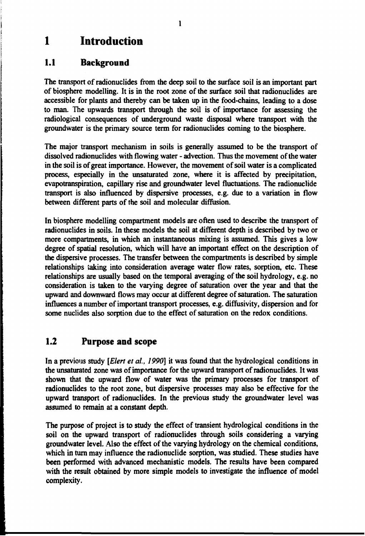# **1 Introduction**

## **1.1 Background**

**The transport of radionuclides from the deep soil to the surface soil is an important part of biosphere modelling. It is in the root zone of the surface soil that radionuclides are accessible for plants and thereby can be taken up in the food-chains, leading to a dose to man. The upwards transport through the soil is of importance for assessing the radiological consequences of underground waste disposal where transport with the groundwater is the primary source term for radionuclides coming to the biosphere.**

**The major transport mechanism in soils is generally assumed to be the transport of dissolved radionuclides with flowing water - advection. Thus the movement of the water in the soil is of great importance. However, the movement of soil water is a complicated process, especially in the unsaturated zone, where it is affected by precipitation, evapotranspiration, capillary rise and groundwater level fluctuations. The radionuclide transport is also influenced by dispersive processes, e.g. due to a variation in flow between different parts of the soil and molecular diffusion.**

**In biosphere modelling compartment models are often used to describe the transport of radionuclides in soils. In these models the soil at different depth is described by two or more compartments, in which an instantaneous mixing is assumed. This gives a low degree of spatial resolution, which will have an important effect on the description of the dispersive processes. The transfer between the compartments is described by simple relationships taking into consideration average water flow rates, sorption, etc. These relationships are usually based on the temporal averaging of the soil hydrology, e.g. no consideration is taken to the varying degree of saturation over the year and that the upward and downward flows may occur at different degree of saturation. The saturation influences a number of important transport processes, e.g. diffusivity, dispersion and for some nuclides also sorption due to the effect of saturation on the redox conditions.**

# **1.2 Purpose and scope**

**In a previous study** *[Elert et ai, 1990]* **it was found that the hydrological conditions in the unsaturated zone was of importance for the upward transport of radionuclides. It was shown that the upward flow of water was the primary processes for transport of radionuclides to the root zone, but dispersive processes may also be effective for the upward transport of radionuclides. In the previous study the groundwater level was assumed to remain at a constant depth.**

**The purpose of project is to study the effect of transient hydrological conditions in the soil on the upward transport of radionuclides through soils considering a varying groundwater level. Also the effect of the varying hydrology on the chemical conditions, which in turn may influence the radionuclide sorption, was studied. These studies have been performed with advanced mechanistic models. The results have been compared with the result obtained by more simple models to investigate the influence of model complexity.**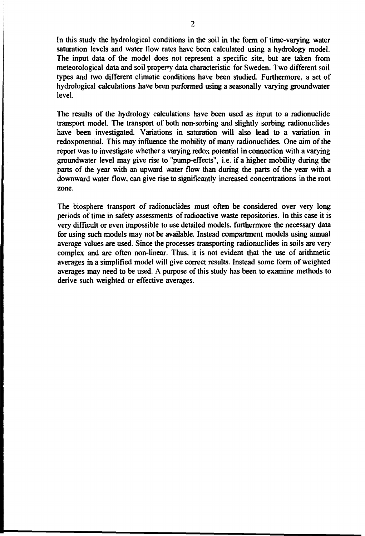In this study the hydrological conditions in the soil in the form of time-varying water saturation levels and water flow rates have been calculated using a hydrology model. The input data of the model does not represent a specific site, but are taken from meteorological data and soil property data characteristic for Sweden. Two different soil types and two different climatic conditions have been studied. Furthermore, a set of hydrological calculations have been performed using a seasonally varying groundwater level.

The results of the hydrology calculations have been used as input to a radionuclide transport model. The transport of both non-sorbing and slightly sorbing radionuclides have been investigated. Variations in saturation will also lead to a variation in redoxpotential. This may influence the mobility of many radionuclides. One aim of the report was to investigate whether a varying redox potential in connection with a varying groundwater level may give rise to "pump-effects", i.e. if a higher mobility during the parts of the year with an upward water flow than during the parts of the year with a downward water flow, can give rise to significantly increased concentrations in the root zone.

The biosphere transport of radionuclides must often be considered over very long periods of time in safety assessments of radioactive waste repositories. In this case it is very difficult or even impossible to use detailed models, furthermore the necessary data for using such models may not be available. Instead compartment models using annual average values are used. Since the processes transporting radionuclides in soils are very complex and are often non-linear. Thus, it is not evident that the use of arithmetic averages in a simplified model will give correct results. Instead some form of weighted averages may need to be used. A purpose of this study has been to examine methods to derive such weighted or effective averages.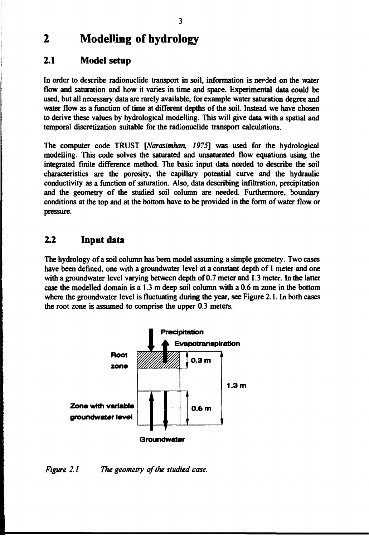# **2 Modelling of hydrology**

### **2.1 Model setup**

**In order to describe radionuclide transport in soil, information is needed on the water flow and saturation and how it varies in time and space. Experimental data could be used, but all necessary data are rarely available, for example water saturation degree and water flow as a function of time at different depths of the soil. Instead we have chosen to derive these values by hydrological modelling. This will give data with a spatial and temporal discretization suitable for the radionuclide transport calculations.**

**The computer code TRUST** *[Narasimhan, 1975]* **was used for the hydrological modelling. This code solves the saturated and unsaturated flow equations using the integrated finite difference method. The basic input data needed to describe the soil characteristics are the porosity, the capillary potential curve and the hydraulic conductivity as a function of saturation. Also, data describing infiltration, precipitation and the geometry of the studied soil column are needed. Furthermore, boundary conditions at the top and at the bottom have to be provided in the form of water flow or pressure.**

### **2.2 Input data**

**The hydrology of a soil column has been model assuming a simple geometry. Two cases have been defined, one with a groundwater level at a constant depth of 1 meter and one with a groundwater level varying between depth of 0.7 meter and 1.3 meter. In the latter case the modelled domain is a 1.3 m deep soil column with a 0.6 m zone in the bottom where the groundwater level is fluctuating during the year, see Figure 2.1. In both cases the root zone is assumed to comprise the upper 0.3 meters.**



*Figure 2.1 The geometry of the studied case.*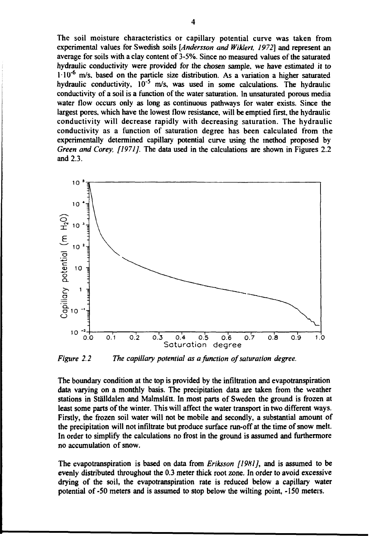The soil moisture characteristics or capillary potential curve was taken from experimental values for Swedish soils *[Andersson and Wiklert, 1972]* and represent an average for soils with a clay content of 3-5%. Since no measured values of the saturated hydraulic conductivity were provided for the chosen sample, we have estimated it to  $1.10^{-6}$  m/s. based on the particle size distribution. As a variation a higher saturated hydraulic conductivity,  $10^{-5}$  m/s, was used in some calculations. The hydraulic conductivity of a soil is a function of the water saturation. In unsaturated porous media water flow occurs only as long as continuous pathways for water exists. Since the largest pores, which have the lowest flow resistance, will be emptied first, the hydraulic conductivity will decrease rapidly with decreasing saturation. The hydraulic conductivity as a function of saturation degree has been calculated from the experimentally determined capillary potential curve using the method proposed by *Green and Corey, [1971]*. The data used in the calculations are shown in Figures 2.2 and 2.3.



*Figure 2.2 The capillary potential as a function of saturation degree.*

The boundary condition at the top is provided by the infiltration and evapotranspiration data varying on a monthly basis. The precipitation data are taken from the weather stations in Ställdalen and Malmslätt. In most parts of Sweden the ground is frozen at least some parts of the winter. This will affect the water transport in two different ways. Firstly, the frozen soil water will not be mobile and secondly, a substantial amount of the precipitation will not infiltrate but produce surface run-off at the time of snow melt. In order to simplify the calculations no frost in the ground is assumed and furthermore no accumulation of snow.

The cvapotranspiration is based on data from *Eriksson [19H1],* and is assumed to be evenly distributed throughout the 0.3 meter thick root zone. In order to avoid excessive drying of the soil, the evapotranspiration rate is reduced below a capillary water potential of -50 meters and is assumed to stop below the wilting point, -150 meters.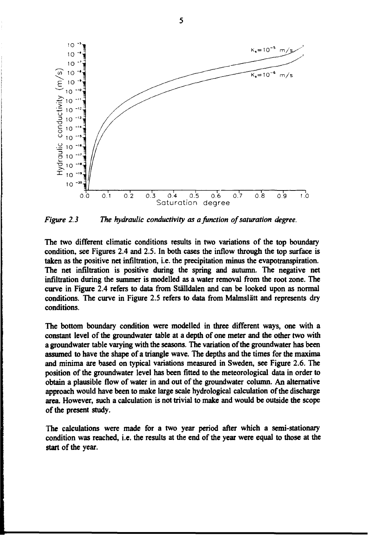

*Figure 2.3 The hydraulic conductivity as a function of saturation degree.*

**The two different climatic conditions results in two variations of the top boundary condition, see Figures 2.4 and 2.5. In both cases the inflow through the top surface is taken as the positive net infiltration, i.e. the precipitation minus the evapotranspiration. The net infiltration is positive during the spring and autumn. The negative net infiltration during the summer is modelled as a water removal from the root zone. The curve in Figure 2.4 refers to data from Ställdalen and can be looked upon as normal conditions. The curve in Figure 2.5 refers to data from Malmslätt and represents dry conditions.**

**The bottom boundary condition were modelled in three different ways, one with a constant level of the groundwater table at a depth of one meter and the other two with a groundwater table varying with the seasons. The variation of the groundwater has been assumed to have the shape of a triangle wave. The depths and the times for the maxima and minima are based on typical variations measured in Sweden, see Figure 2.6. The position of the groundwater level has been fitted to the meteorological data in order to obtain a plausible flow of water in and out of the groundwater column. An alternative approach would have been to make large scale hydrological calculation of the discharge area. However, such a calculation is not trivial to make and would be outside the scope of the present study.**

**The calculations were made for a two year period after which a semi-stationary condition was reached, i.e. the results at the end of the year were equal to those at the start of the year.**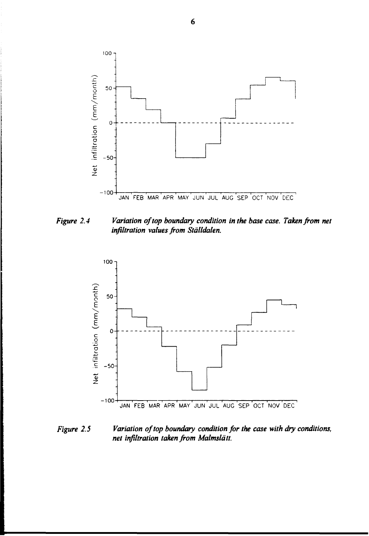

*Figure 2.4 Variation of top boundary condition in the base case. Taken from net infiltration values from Ställdalen.*



*Figure 2.5 Variation of top boundary condition for the case with dry conditions, net infiltration taken from Malmslätt.*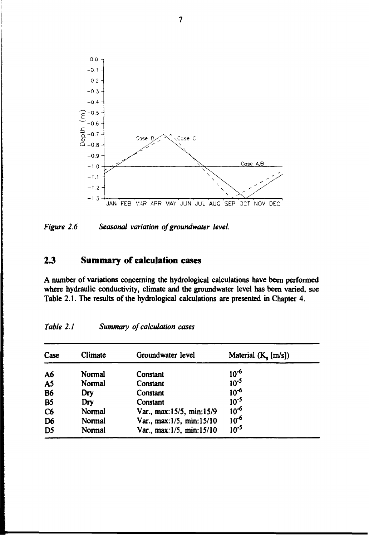

*Figure 2.6 Seasonal variation of groundwater level.*

## **2.3 Summary of calculation cases**

**A number of variations concerning the hydrological calculations have been performed where hydraulic conductivity, climate and the groundwater level has been varied, see Table 2.1. The results of the hydrological calculations are presented in Chapter 4.**

| Case           | Climate | Groundwater level        | Material $(K_{\epsilon}[m/s])$ |  |
|----------------|---------|--------------------------|--------------------------------|--|
| A6             | Normal  | Constant                 | $10^{-6}$                      |  |
| A <sub>5</sub> | Normal  | Constant                 | $10^{-5}$                      |  |
| <b>B6</b>      | Dry     | Constant                 | $10^{-6}$                      |  |
| <b>B5</b>      | Dry     | Constant                 | $10^{-5}$                      |  |
| C <sub>6</sub> | Normal  | Var., max:15/5, min:15/9 | $10^{-6}$                      |  |
| D <sub>6</sub> | Normal  | Var., max:1/5, min:15/10 | $10^{-6}$                      |  |
| D <sub>5</sub> | Normal  | Var., max:1/5, min:15/10 | $10^{-5}$                      |  |

*Table 2.1 Summary of calculation cases*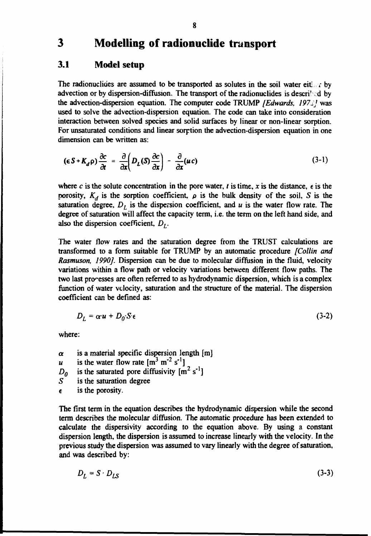# **3 Modelling of radionuclide transport**

### **3.1 Model setup**

The radionuclides are assumed to be transported as solutes in the soil water either by advection or by dispersion-diffusion. The transport of the radionuclides is described by the advection-dispersion equation. The computer code TRUMP *[Edwards, 1973]* was used to solve the advection-dispersion equation. The code can take into consideration interaction between solved species and solid surfaces by linear or non-linear sorption. For unsaturated conditions and linear sorption the advection-dispersion equation in one dimension can be written as:

$$
(\epsilon S + K_d \rho) \frac{\partial c}{\partial t} = \frac{\partial}{\partial x} \left( D_L(S) \frac{\partial c}{\partial x} \right) - \frac{\partial}{\partial x} (uc)
$$
 (3-1)

where c is the solute concentration in the pore water, t is time, x is the distance,  $\epsilon$  is the porosity,  $K_d$  is the sorption coefficient,  $\rho$  is the bulk density of the soil, S is the saturation degree,  $D_L$  is the dispersion coefficient, and  $u$  is the water flow rate. The degree of saturation will affect the capacity term, i.e. the term on the left hand side, and also the dispersion coefficient,  $D<sub>L</sub>$ .

The water flow rates and the saturation degree from the TRUST calculations are transformed to a form suitable for TRUMP by an automatic procedure *[Collin and Rasmuson, 1990].* Dispersion can be due to molecular diffusion in the fluid, velocity variations within a flow path or velocity variations between different flow paths. The two last processes are often referred to as hydrodynamic dispersion, which is a complex function of water velocity, saturation and the structure of the material. The dispersion coefficient can be defined as:

$$
D_L = \alpha \cdot u + D_0 \cdot S \cdot \epsilon \tag{3-2}
$$

where:

 $\alpha$  is a material specific dispersion length [m] *u* is the water flow rate  $[m^3 m^2 s^1]$  $D_0$  is the saturated pore diffusivity  $\begin{bmatrix} m^2 & s^{-1} \end{bmatrix}$ <br>*S* is the saturation degree is the saturation degree

 $\epsilon$  is the porosity.

The first term in the equation describes the hydrodynamic dispersion while the second term describes the molecular diffusion. The automatic procedure has been extended to calculate the dispersivity according to the equation above. By using a constant dispersion length, the dispersion is assumed to increase linearly with the velocity. In the previous study the dispersion was assumed to vary linearly with the degree of saturation, and was described by:

$$
D_L = S \cdot D_{LS} \tag{3-3}
$$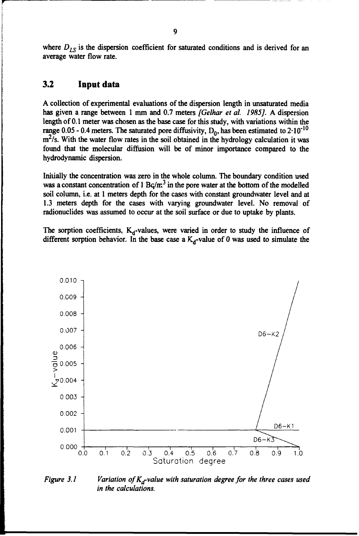where  $D_{LS}$  is the dispersion coefficient for saturated conditions and is derived for an average water flow rate.

## **3.2 Input data**

A collection of experimental evaluations of the dispersion length in unsaturated media has given a range between 1 mm and 0.7 meters *[Gelhar et al. 1985J.* A dispersion length of 0.1 meter was chosen as the base case for this study, with variations within the range 0.05 - 0.4 meters. The saturated pore diffusivity,  $D_0$ , has been estimated to 2·10<sup>-10</sup> m<sup>2</sup>/s. With the water flow rates in the soil obtained in the hydrology calculation it was found that the molecular diffusion will be of minor importance compared to the hydrodynamic dispersion.

Initially the concentration was zero in the whole column. The boundary condition used was a constant concentration of 1  $Bq/m<sup>3</sup>$  in the pore water at the bottom of the modelled soil column, i.e. at 1 meters depth for the cases with constant groundwater level and at 1.3 meters depth for the cases with varying groundwater level. No removal of radionuclides was assumed to occur at the soil surface or due to uptake by plants.

The sorption coefficients,  $K_d$ -values, were varied in order to study the influence of different sorption behavior. In the base case a  $K_d$ -value of 0 was used to simulate the



*Figure 3.1 Variation of*  $K_d$ -value with saturation degree for the three cases used *in the calculations.*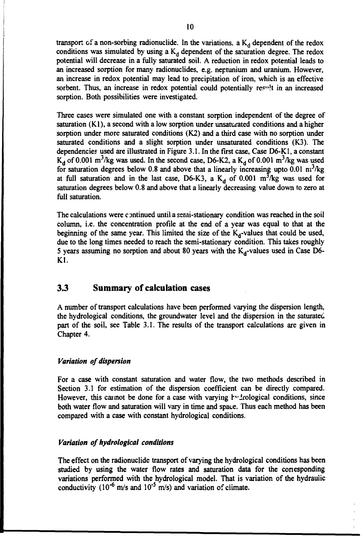transport of a non-sorbing radionuclide. In the variations, a  $K_d$  dependent of the redox conditions was simulated by using a  $K_d$  dependent of the saturation degree. The redox potential will decrease in a fully saturated soil. A reduction in redox potential leads to an increased sorption for many radionuclides, e.g. neptunium and uranium. However, an increase in redox potential may lead to precipitation of iron, which is an effective sorbent. Thus, an increase in redox potential could potentially res<sup>1</sup>! in an increased sorption. Both possibilities were investigated.

Three cases were simulated one with a constant sorption independent of the degree of saturation (Kl), a second with a low sorption under unsaturated conditions and a higher sorption under more saturated conditions (K2) and a third case with no sorption under saturated conditions and a slight sorption under unsaturated conditions (K3). The dependencies used are illustrated in Figure 3.1. In the first case, Case D6-K1, a constant  $K_d$  of 0.001 m<sup>3</sup>/kg was used. In the second case, D6-K2, a  $K_d$  of 0.001 m<sup>3</sup>/kg was used for saturation degrees below 0.8 and above that a linearly increasing upto  $0.01 \text{ m}^3/\text{kg}$ at full saturation and in the last case, D6-K3, a  $K_d$  of 0.001 m<sup>3</sup>/kg was used for saturation degrees below 0.8 and above that a linearly decreasing value down to zero at full saturation.

The calculations were continued until a semi-stationary condition was reached in the soil column, i.e. the concentration profile at the end of a year was equal to that at the beginning of the same year. This limited the size of the  $K_d$ -values that could be used, due to the long times needed to reach the semi-stationary condition. This takes roughly 5 years assuming no sorption and about 80 years with the  $K_d$ -values used in Case D6-Kl.

### **3.3 Summary of calculation cases**

A number of transport calculations have been performed varying the dispersion length, the hydrological conditions, the groundwater level and the dispersion in the saturated part of the soil, see Table 3.1. The results of the transport calculations are given in Chapter 4.

### *Variation of dispersion*

For a case with constant saturation and water flow, the two methods described in Section 3.1 for estimation of the dispersion coefficient can be directly compared. However, this cannot be done for a case with varying  $iv$ -trological conditions, since both water flow and saturation will vary in time and space. Thus each method has been compared with a case with constant hydrological conditions.

#### *Variation of hydrological conditions*

The effect on the radionuclide transport of varying the hydrological conditions has been studied by using the water flow rates and saturation data for the conesponding variations performed with the hydrological model. That is variation of the hydraulic conductivity ( $10^{-6}$  m/s and  $10^{-5}$  m/s) and variation of climate.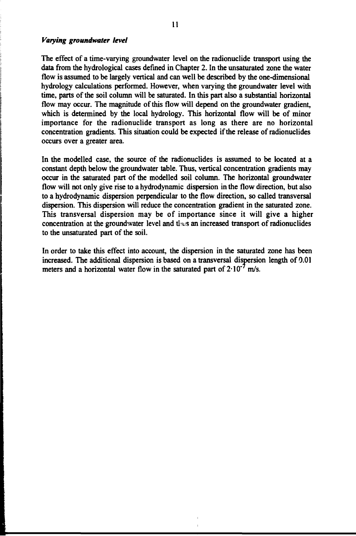#### *Varying groundwater level*

The effect of a time-varying groundwater level on the radionuclide transport using the data from the hydrological cases defined in Chapter 2. In the unsaturated zone the water flow is assumed to be largely vertical and can well be described by the one-dimensional hydrology calculations performed. However, when varying the groundwater level with time, parts of the soil column will be saturated. In this part also a substantial horizontal flow may occur. The magnitude of this flow will depend on the groundwater gradient, which is determined by the local hydrology. This horizontal flow will be of minor importance for the radionuclide transport as long as there are no horizontal concentration gradients. This situation could be expected if the release of radionuclides occurs over a greater area.

In the modelled case, the source of the radionuclides is assumed to be located at a constant depth below the groundwater table. Thus, vertical concentration gradients may occur in the saturated part of the modelled soil column. The horizontal groundwater flow will not only give rise to a hydrodynamic dispersion in the flow direction, but also to a hydrodynamic dispersion perpendicular to the flow direction, so called transversal dispersion. This dispersion will reduce the concentration gradient in the saturated zone. This transversal dispersion may be of importance since it will give a higher concentration at the groundwater level and thus an increased transport of radionuclides to the unsaturated part of the soil.

In order to take this effect into account, the dispersion in the saturated zone has been increased. The additional dispersion is based on a transversal dispersion length of 0.01 meters and a horizontal water flow in the saturated part of  $2.10^{-7}$  m/s.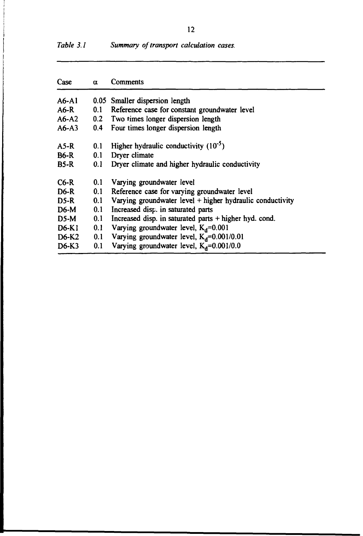| Case        | α   | Comments                                                  |
|-------------|-----|-----------------------------------------------------------|
| A6-A1       |     | 0.05 Smaller dispersion length                            |
| $A6-R$      | 0.1 | Reference case for constant groundwater level             |
| $A6-A2$     |     | 0.2 Two times longer dispersion length                    |
| $A6 - A3$   |     | 0.4 Four times longer dispersion length                   |
| $A5-R$      | 0.1 | Higher hydraulic conductivity $(10^{-5})$                 |
| <b>B6-R</b> | 0.1 | Dryer climate                                             |
| <b>B5-R</b> | 0.1 | Dryer climate and higher hydraulic conductivity           |
| $C6-R$      | 0.1 | Varying groundwater level                                 |
| $D6-R$      | 0.1 | Reference case for varying groundwater level              |
| $DS-R$      | 0.1 | Varying groundwater level + higher hydraulic conductivity |
| $D6-M$      | 0.1 | Increased disp. in saturated parts                        |
| D5-M        | 0.1 | Increased disp. in saturated parts $+$ higher hyd. cond.  |
| D6-K1       | 0.1 | Varying groundwater level, $K_d = 0.001$                  |
| D6-K2       | 0.1 | Varying groundwater level, $K_d$ =0.001/0.01              |
| D6-K3       | 0.1 | Varying groundwater level, $K_d = 0.001/0.0$              |

| Table 3.1<br>Summary of transport calculation cases. |  |  |  |  |  |
|------------------------------------------------------|--|--|--|--|--|
|------------------------------------------------------|--|--|--|--|--|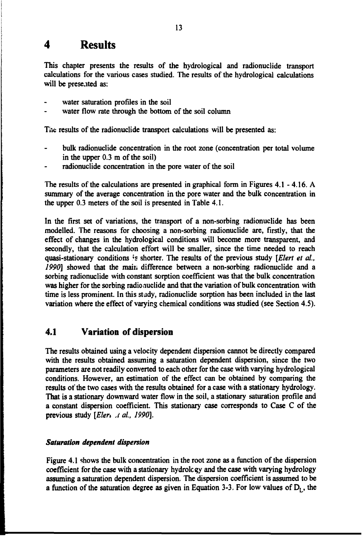# **4 Results**

This chapter presents the results of the hydrological and radionuclide transport calculations for the various cases studied. The results of the hydrological calculations will be presented as:

- water saturation profiles in the soil
- water flow rate through the bottom of the soil column water flow rate through the bottom of the soil column the soil column that  $\alpha$

The results of the radionuclide transport calculations will be presented as: The results of the radionuclide transport calculations will be presented as:

- bulk radionuclide concentration in the root zone (concentration per total volume in the upper  $0.3$  m of the soil)
- radionuclide concentration in the pore water of the soil

The results of the calculations are presented in graphical form in Figures 4.1 - 4.16. A summary of the average concentration in the pore water and the bulk concentration in the upper 0.3 meters of the soil is presented in Table 4.1.

In the first set of variations, the transport of a non-sorbing radionuclide has been modelled. The reasons for choosing a non-sorbing radionuclide are, firstly, that the effect of changes in the hydrological conditions will become more transparent, and secondly, that the calculation effort will be smaller, since the time needed to reach quasi-stationary conditions is shorter. The results of the previous study [Elert et al., *1990]* showed that the main difference between a non-sorbing radionuclide and a sorbing radionuclide with constant sorption coefficient was that the bulk concentration was higher for the sorbing radio auclide and that the variation of bulk concentration with time is less prominent. In this study, radionuclide sorption has been included in the last variation where the effect of varying chemical conditions was studied (see Section 4.5).

### **4.1 Variation of dispersion**

The results obtained using a velocity dependent dispersion cannot be directly compared with the results obtained assuming a saturation dependent dispersion, since the two parameters are not readily converted to each other for the case with varying hydrological conditions. However, an estimation of the effect can be obtained by comparing the results of the two cases with the results obtained for a case with a stationary hydrology. That is a stationary downward water flow in the soil, a stationary saturation profile and a constant dispersion coefficient. This stationary case corresponds to Case C of the previous study [Eler<sub>1 A</sub> al., 1990].

### *Saturation dependent dispersion*

Figure 4.1 shows the bulk concentration in the root zone as a function of the dispersion coefficient for the case with a stationary hydrolcgy and the case with varying hydrology assuming a saturation dependent dispersion. The dispersion coefficient is assumed to be a function of the saturation degree as given in Equation 3-3. For low values of  $D<sub>L</sub>$ , the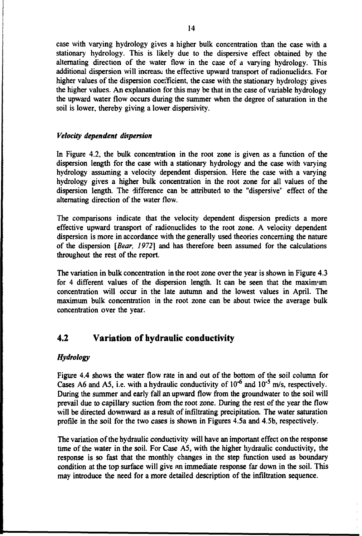case with varying hydrology gives a higher bulk concentration than the case with a stationary hydrology. This is likely due to the dispersive effect obtained by the alternating direction of the water flow in the case of a varying hydrology. This additional dispersion will increase the effective upward transport of radionuclides. For higher values of the dispersion coefficient, the case with the stationary hydrology gives the higher values. An explanation for this may be that in the case of variable hydrology the upward water flow occurs during the summer when the degree of saturation in the soil is lower, thereby giving a lower dispersivity.

#### *Velocity dependent dispersion*

In Figure 4.2, the bulk concentration in the root zone is given as a function of the dispersion length for the case with a stationary hydrology and the case with varying hydrology assuming a velocity dependent dispersion. Here the case with a varying hydrology gives a higher bulk concentration in the root zone for all values of the dispersion length. The difference can be attributed to the "dispersive" effect of the alternating direction of the water flow.

The comparisons indicate that the velocity dependent dispersion predicts a more effective upward transport of radionuclides to the root zone. A velocity dependent dispersion is more in accordance with the generally used theories concerning the nature of the dispersion *[Bear, 1972]* and has therefore been assumed for the calculations throughout the rest of the report.

The variation in bulk concentration in the root zone over the year is shown in Figure 4.3 for 4 different values of the dispersion length. It can be seen that the maxinvim concentration will occur in the late autumn and the lowest values in April. The maximum bulk concentration in the root zone can be about twice the average bulk concentration over the year.

### **4.2 Variation of hydraulic conductivity**

### *Hydrology*

Figure 4.4 shows the water flow rate in and out of the bottom of the soil column for Cases A6 and A5, i.e. with a hydraulic conductivity of  $10^{-6}$  and  $10^{-5}$  m/s, respectively. During the summer and early fall an upward flow from the groundwater to the soil will prevail due to capillary suction from the root zone. During the rest of the year the flow will be directed downward as a result of infiltrating precipitation. The water saturation profile in the soil for the two cases is shown in Figures 4.5a and 4.5b, respectively.

The variation of the hydraulic conductivity will have an important effect on the response time of the water in the soil. For Case A5, with the higher hydraulic conductivity, the response is so fast that the monthly changes in the step function used as boundary condition at the top surface will give an immediate response far down in the soil. This may introduce the need for a more detailed description of the infiltration sequence.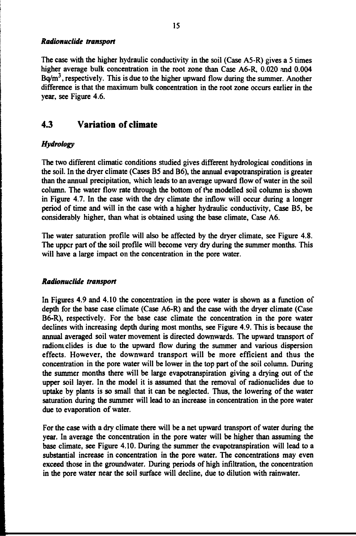#### *Radionuclide transport*

**The case with the higher hydraulic conductivity in the soil (Case A5-R) gives a 5 times higher average bulk concentration in the root zone than Case A6-R, 0.020 and 0.004 Bq/m<sup>3</sup> , respectively. This is due to the higher upward flow during the summer. Another difference is that the maximum bulk concentration in the root zone occurs earlier in the year, see Figure 4.6.**

# **4.3 Variation of climate**

### *Hydrology*

**The two different climatic conditions studied gives different hydrological conditions in the soil. In the dryer climate (Cases B5 and B6), the annual evapotranspiration is greater than the annual precipitation, which leads to an average upward flow of water in the soil column. The water flow rate through the bottom of the modelled soil column is shown in Figure 4.7. In the case with the dry climate the inflow will occur during a longer period of time and will in the case with a higher hydraulic conductivity, Case B5, be considerably higher, than what is obtained using the base climate, Case A6.**

**The water saturation profile will also be affected by the dryer climate, see Figure 4.8. The upper part of the soil profile will become very dry during the summer months. This will have a large impact on the concentration in the pore water.**

#### *Radionuclide transport*

**In Figures 4.9 and 4.10 the concentration in the pore water is shown as a function of depth for the base case climate (Case A6-R) and the case with the dryer climate (Case B6-R), respectively. For the base case climate the concentration in the pore water declines with increasing depth during most months, see Figure 4.9. This is because the annual averaged soil water movement is directed downwards. The upward transport of radiomclides is due to the upward flow during the summer and various dispersion effects. However, the downward transport will be more efficient and thus the concentration in the pore water will be lower in the top part of the soil column. During the summer months there will be large evapotranspiration giving a drying out of the upper soil layer. In the model it is assumed that the removal of radionuclides due to uptake by plants is so small that it can be neglected. Thus, the lowering of the water saturation during the summer will lead to an increase in concentration in the pore water due to evaporation of water.**

**For the case with a dry climate there will be a net upward transport of water during the year. In average the concentration in the pore water will be higher than assuming the base climate, see Figure 4.10. During the summer the evapotranspiration will lead to a substantial increase in concentration in the pore water. The concentrations may even exceed those in the groundwater. During periods of high infiltration, the concentration in the pore water near the soil surface will decline, due to dilution with rainwater.**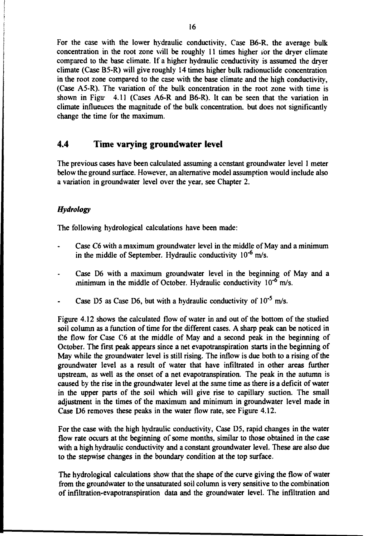For the case with the lower hydraulic conductivity. Case B6-R, the average bulk concentration in the root zone will be roughly 11 times higher for the dryer climate compared to the base climate. If a higher hydraulic conductivity is assumed the dryer climate (Case B5-R) will give roughly 14 times higher bulk radionuclide concentration in the root zone compared to the case with the base climate and the high conductivity, (Case A5-R). The variation of the bulk concentration in the root zone with time is shown in Figur 4.11 (Cases A6-R and B6-R). It can be seen that the variation in climate influences the magnitude of the bulk concentration, but does not significantly change the time for the maximum.

## **4.4 Time varying groundwater level**

The previous cases have been calculated assuming a constant groundwater level 1 meter below the ground surface. However, an alternative model assumption would include also a variation in groundwater level over the year, see Chapter 2.

### *Hydrology*

The following hydrological calculations have been made:

- Case C6 with a maximum groundwater level in the middle of May and a minimum in the middle of September. Hydraulic conductivity  $10^{-6}$  m/s.
- Case D6 with a maximum groundwater level in the beginning of May and a minimum in the middle of October. Hydraulic conductivity  $10^{-6}$  m/s.
- Case D5 as Case D6, but with a hydraulic conductivity of  $10^{-5}$  m/s.

Figure 4.12 shows the calculated flow of water in and out of the bottom of the studied soil column as a function of time for the different cases. A sharp peak can be noticed in the flow for Case C6 at the middle of May and a second peak in the beginning of October. The first peak appears since a net evapotranspiration starts in the beginning of May while the groundwater level is still rising. The inflow is due both to a rising of the groundwater level as a result of water that have infiltrated in other areas further upstream, as well as the onset of a net evapotranspiration. The peak in the autumn is caused by the rise in the groundwater level at the same time as there is a deficit of water in the upper parts of the soil which will give rise to capillary suction. The small adjustment in the times of the maximum and minimum in groundwater level made in Case D6 removes these peaks in the water flow rate, see Figure 4.12.

For the case with the high hydraulic conductivity, Case D5, rapid changes in the water flow rate occurs at the beginning of some months, similar to those obtained in the case with a high hydraulic conductivity and a constant groundwater level. These are also due to the stepwise changes in the boundary condition at the top surface.

The hydrological calculations show that the shape of the curve giving the flow of water from the groundwater to the unsaturated soil column is very sensitive to the combination of infiltration-evapotranspiration data and the groundwater level. The infiltration and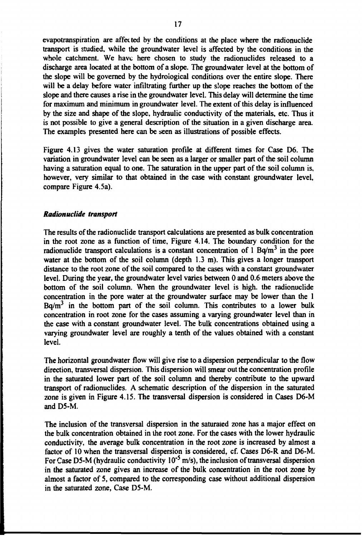**evapotranspiration are affected by the conditions at the place where the radionuclide transport is studied, while the groundwater level is affected by the conditions in the whole catchment. We have here chosen to study the radionuclides released to a discharge area located at the bottom of a slope. The groundwater level at the bottom of the slope will be governed by the hydrological conditions over the entire slope. There will be a delay before water infiltrating further up the slope reaches the bottom of the slope and there causes a rise in the groundwater level. This delay will determine the time for maximum and minimum in groundwater level. The extent of this delay is influenced by the size and shape of the slope, hydraulic conductivity of the materials, etc. Thus it is not possible to give a general description of the situation in a given discharge area. The examples presented here can be seen as illustrations of possible effects.**

**Figure 4.13 gives the water saturation profile at different times for Case D6. The variation in groundwater level can be seen as a larger or smaller part of the soil column having a saturation equal to one. The saturation in the upper part of the soil column is, however, very similar to that obtained in the case with constant groundwater level, compare Figure 4.5a).**

#### *Radionuclide transport*

**The results of the radionuclide transport calculations are presented as bulk concentration in the root zone as a function of time, Figure 4.14. The boundary condition for the radionuclide transport calculations is a constant concentration of 1 Bq/m<sup>3</sup> in the pore water at the bottom of the soil column (depth 1.3 m). This gives a longer transport distance to the root zone of the soil compared to the cases with a constant groundwater level. During the year, the groundwater level varies between 0 and 0.6 meters above the bottom of the soil column. When the groundwater level is high, the radionuclide concentration in the pore water at the groundwater surface may be lower than the 1 Bq/m<sup>3</sup> in the bottom part of the soil column. This contributes to a lower bulk concentration in root zone for the cases assuming a varying groundwater level than in the case with a constant groundwater level. The bulk concentrations obtained using a varying groundwater level are roughly a tenth of the values obtained with a constant level.**

**The horizontal groundwater flow will give rise to a dispersion perpendicular to the flow direction, transversal dispersion. This dispersion will smear out the concentration profile in the saturated lower part of the soil column and thereby contribute to the upward transport of radionuclides. A schematic description of the dispersion in the saturated zone is given in Figure 4.15. The transversal dispersion is considered in Cases D6-M and D5-M.**

**The inclusion of the transversal dispersion in the saturated zone has a major effect on the bulk concentration obtained in the root zone. For the cases with the lower hydraulic conductivity, the average bulk concentration in the root zone is increased by almost a factor of 10 when the transversal dispersion is considered, cf. Cases O6-R and D6-M. For Case D5-M (hydraulic conductivity 10"<sup>5</sup> m/s), the inclusion of transversal dispersion in the saturated zone gives an increase of the bulk concentration in the root zone by almost a factor of 5, compared to the corresponding case without additional dispersion in the saturated zone, Case D5-M.**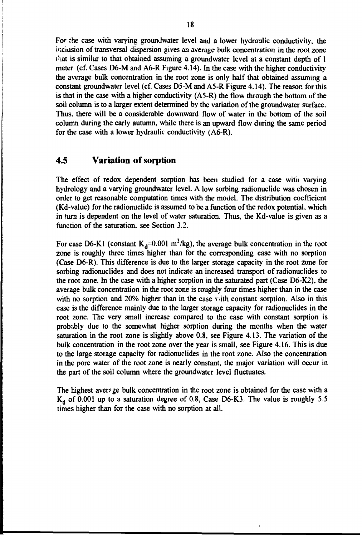For the case with varying groundwater level and a lower hydraulic conductivity, the inclusion of transversal dispersion gives an average bulk concentration in the root zone that is similar to that obtained assuming a groundwater level at a constant depth of  $1$ meter (cf. Cases D6-M and A6-R Figure 4.14). In the case with the higher conductivity the average bulk concentration in the root zone is only half that obtained assuming a constant groundwater level (cf. Cases D5-M and A5-R Figure 4.14). The reason for this is that in the case with a higher conductivity (A5-R) the flow through the bottom of the soil column is to a larger extent determined by the variation of the groundwater surface. Thus, there will be a considerable downward flow of water in the bottom of the soil column during the early autumn, while there is an upward flow during the same period for the case with a lower hydraulic conductivity (A6-R).

### **4.5 Variation of sorption**

The effect of redox dependent sorption has been studied for a case with varying hydrology and a varying groundwater level. A low sorbing radionuclide was chosen in order to get reasonable computation times with the model. The distribution coefficient (Kd-value) for the radionuclide is assumed to be a function of the redox potential, which in turn is dependent on the level of water saturation. Thus, the Kd-value is given as a function of the saturation, see Section 3.2.

For case D6-K1 (constant  $K_d=0.001$  m<sup>3</sup>/kg), the average bulk concentration in the root zone is roughly three times higher than for the corresponding case with no sorption (Case D6-R). This difference is due to the larger storage capacity in the root zone for sorbing radionuclides and does not indicate an increased transport of radionuclides to the root zone. In the case with a higher sorption in the saturated part (Case D6-K2), the average bulk concentration in the root zone is roughly four times higher than in the case with no sorption and 20% higher than in the case vith constant sorption. Also in this case is the difference mainly due to the larger storage capacity for radionuclides in the root zone. The very small increase compared to the case with constant sorption is probably due to the somewhat higher sorption during the months when the water saturation in the root zone is slightly above 0.8, see Figure 4.13. The variation of the bulk concentration in the root zone over the year is small, see Figure 4.16. This is due to the large storage capacity for radionuclides in the root zone. Also the concentration in the pore water of the root zone is nearly constant, the major variation will occur in the part of the soil column where the groundwater level fluctuates.

The highest average bulk concentration in the root zone is obtained for the case with a  $K_d$  of 0.001 up to a saturation degree of 0.8, Case D6-K3. The value is roughly 5.5 times higher than for the case with no sorption at all.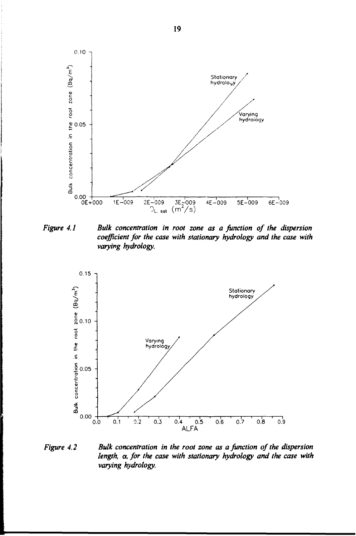

*Figure 4.1 Bulk concentration in root zone as a function of the dispersion coefficient for the case with stationary hydrology and the case with varying hydrology.*



*Figure 4.2 Bulk concentration in the root zone as a Junction of the dispersion length, a, for the case with stationary hydrology and the case with varying hydrology.*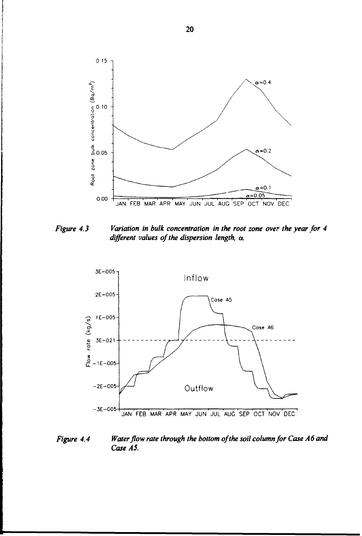

*Figure 4.3 Variation in bulk concentration in the root zone over the year for 4 different values of the dispersion length, a.*



*Figure 4.4* Water flow rate through the bottom of the soil column for Case A6 and *Case AS.*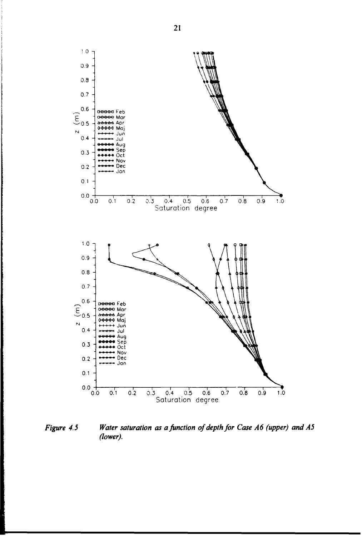

*Figure 4.5 Water saturation as a function of depth for Case A6 (upper) and A5 (lower).*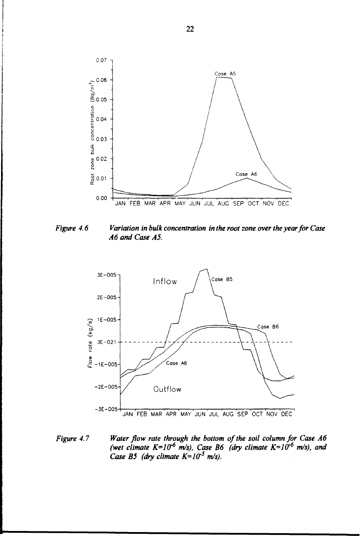

*Figure 4.6 Variation in bulk concentration in the root zone over the year for Case A6 and Case A5.*



*Figure 4.7 Water flow rate through the bottom of the soil column for Case A6 (wet climate K=1(T<sup>6</sup> m/s), Case B6 (dry climate K=l(f<sup>6</sup> m/s), and Case B5 (dry climate*  $K=10^{-5}$  *m/s).*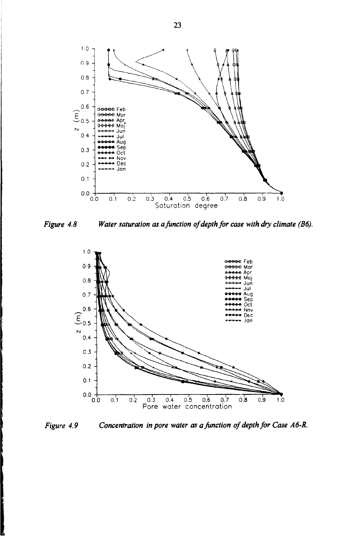

*Figure 4.8 Water saturation as a function of depth for case with dry climate (B6).*



*Figure 4.9 Concentration in pore water as a function of depth for Case A6-R.*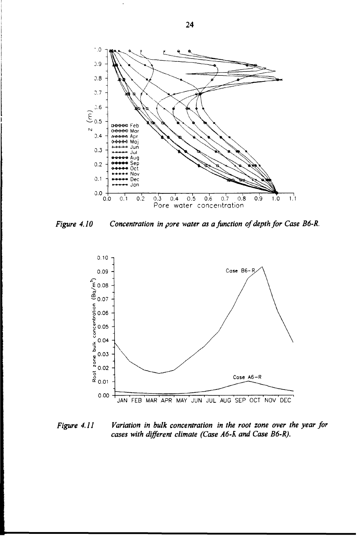

Figure 4.10



*Figure 4.11 Variation in bulk concentration in the root zone over the year for cases with different climate (Case A6-R and Case B6-R).*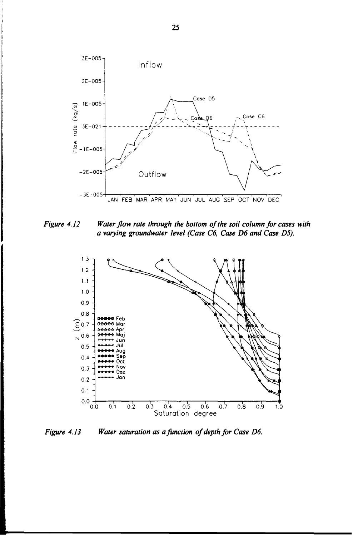

*Figure 4.12 Water flow rate through the bottom of the soil column for cases with a varying groundwater level (Case C6, Case D6 and Case D5).*



*Figure 4.13 Water saturation as a function of depth for Case D6.*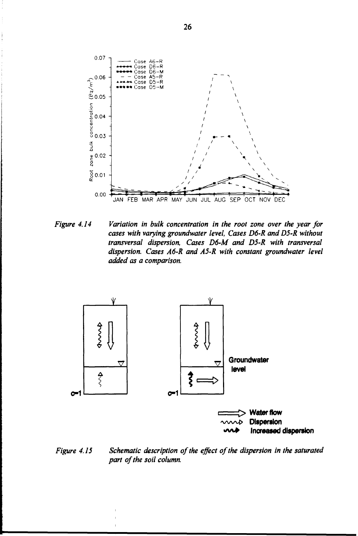

*Figure 4.14 Variation in bulk concentration in the root zone over the year for cases with varying groundwater level, Cases D6-R and D5-R without transversal dispersion, Cases D6-M and D5-R with transversal dispersion. Cases A6-R and A5-R with constant groundwater level added as a comparison.*



*Figure 4. IS Schematic description of the effect of the dispersion in the saturated part of the soil column.*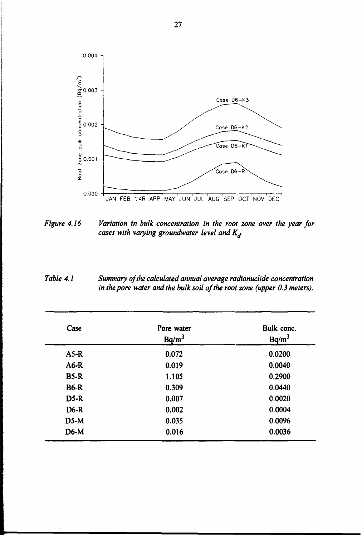

- *Figure 4.16 Variation in bulk concentration in the root zone over the year for cases with varying groundwater level and K^*
- *Table 4.1 Summary of the calculated annual average radionuclide concentration in the pore water and the bulk soil of the root zone (upper 0.3 meters).*

| Case        | Pore water<br>Ba/m <sup>3</sup> | Bulk conc.<br>$Bq/m^3$ |  |
|-------------|---------------------------------|------------------------|--|
| $A5-R$      | 0.072                           | 0.0200                 |  |
| $A6-R$      | 0.019                           | 0.0040                 |  |
| $B5-R$      | 1.105                           | 0.2900                 |  |
| <b>B6-R</b> | 0.309                           | 0.0440                 |  |
| $D5-R$      | 0.007                           | 0.0020                 |  |
| $D6-R$      | 0.002                           | 0.0004                 |  |
| $D5-M$      | 0.035                           | 0.0096                 |  |
| $D6-M$      | 0.016                           | 0.0036                 |  |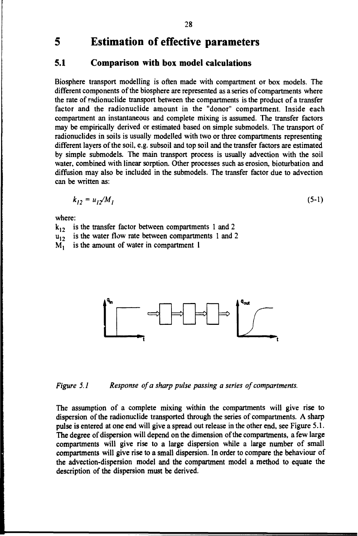#### $5<sup>5</sup>$ **Estimation of effective parameters**

#### **5.1 Comparison with box model calculations**

Biosphere transport modelling is often made with compartment or box models. The different components of the biosphere are represented as a series of compartments where the rate of radionuclide transport between the compartments is the product of a transfer factor and the radionuclide amount in the "donor" compartment. Inside each compartment an instantaneous and complete mixing is assumed. The transfer factors may be empirically derived or estimated based on simple submodels. The transport of radionuclides in soils is usually modelled with two or three compartments representing different layers of the soil, e.g. subsoil and top soil and the transfer factors are estimated by simple submodels. The main transport process is usually advection with the soil water, combined with linear sorption. Other processes such as erosion, bioturbation and diffusion may also be included in the submodels. The transfer factor due to advection can be written as:

$$
k_{12} = u_{12}/M_1 \tag{5-1}
$$

where:

 $k_{12}$ is the transfer factor between compartments 1 and 2 is the water flow rate between compartments 1 and 2

 $\frac{u_{12}}{M_1}$ is the amount of water in compartment 1



*Figure 5.1 Response of a sharp pulse passing a series of compartments.*

The assumption of a complete mixing within the compartments will give rise to dispersion of the radionuclide transported through the series of compartments. A sharp pulse is entered at one end will give a spread out release in the other end, see Figure 5.1. The degree of dispersion will depend on the dimension of the compartments, a few large compartments will give rise to a large dispersion while a large number of small compartments will give rise to a small dispersion. In order to compare the behaviour of the advection-dispersion model and the compartment model a method to equate the description of the dispersion must be derived.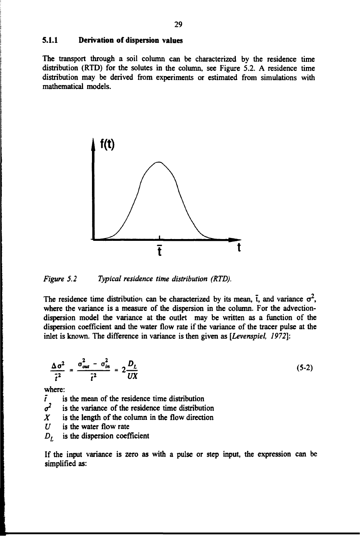#### **5.1.1 Derivation of dispersion values**

The transport through a soil column can be characterized by the residence time distribution (RTD) for the solutes in the column, see Figure 5.2. A residence time distribution may be derived from experiments or estimated from simulations with mathematical models.



*Figure 5.2 Typical residence time distribution (RTD).*

The residence time distribution can be characterized by its mean,  $\bar{t}$ , and variance  $\sigma^2$ , where the variance is a measure of the dispersion in the column. For the advectiondispersion model the variance at the outlet may be written as a function of the dispersion coefficient and the water flow rate if the variance of the tracer pulse at the inlet is known. The difference in variance is then given as *[Levenspiel, 1972]:*

$$
\frac{\Delta \sigma^2}{\tilde{t}^2} = \frac{\sigma_{out}^2 - \sigma_{in}^2}{\tilde{t}^2} = 2 \frac{D_L}{UX}
$$
 (5-2)

where:

*t* is the mean of the residence time distribution

*o 2* is the variance of the residence time distribution

- *X* is the length of the column in the flow direction
- *U* is the water flow rate
- $D<sub>t</sub>$  is the dispersion coefficient

If the input variance is zero as with a pulse or step input, the expression can be simplified as: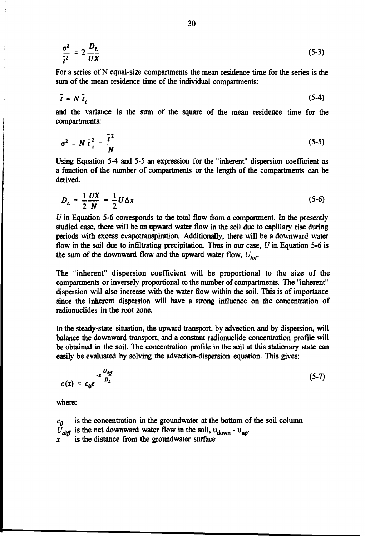$$
\frac{\sigma^2}{\tilde{t}^2} = 2 \frac{D_L}{UX} \tag{5-3}
$$

**For a series of N equal-size compartments the mean residence time for the series is the sum of the mean residence time of the individual compartments:**

$$
\bar{t} = N \bar{t}_i \tag{5-4}
$$

**and the variance is the sum of the square of the mean residence time for the compartments:**

$$
\sigma^2 = N \bar{t}_i^2 = \frac{\bar{t}^2}{N}
$$
 (5-5)

**Using Equation 5-4 and 5-5 an expression for the "inherent" dispersion coefficient as a function of the number of compartments or the length of the compartments can be derived.**

$$
D_L = \frac{1}{2} \frac{UX}{N} = \frac{1}{2} U \Delta x \tag{5-6}
$$

*U* **in Equation 5-6 corresponds to the total flow from a compartment. In the presently studied case, there will be an upward water flow in the soil due to capillary rise during periods with excess evapotranspiration. Additionally, there will be a downward water flow in the soil due to infiltrating precipitation. Thus in our case,** *U* **in Equation 5-6 is the sum of the downward flow and the upward water flow,** *Utot.*

**The "inherent" dispersion coefficient will be proportional to the size of the compartments or inversely proportional to the number of compartments. The "inherent" dispersion will also increase with the water flow within the soil. This is of importance since the inherent dispersion will have a strong influence on the concentration of radionuclides in the root zone.**

**In the steady-state situation, the upward transport, by advection and by dispersion, will balance the downward transport, and a constant radionuclide concentration profile will be obtained in the soil. The concentration profile in the soil at this stationary state can easily be evaluated by solving the advection-dispersion equation. This gives:**

$$
c(x) = c_0 e^{-x \frac{U_{\text{diff}}}{D_L}}
$$
 (5-7)

**where:**

 $c_0$  is the concentration in the groundwater at the bottom of the soil column  $\tilde{U}_{diff}$  is the net downward water flow in the soil,  $u_{down}$  -  $u_{up}$ .  $\mathbf{x}$ **is the distance from the groundwater surface**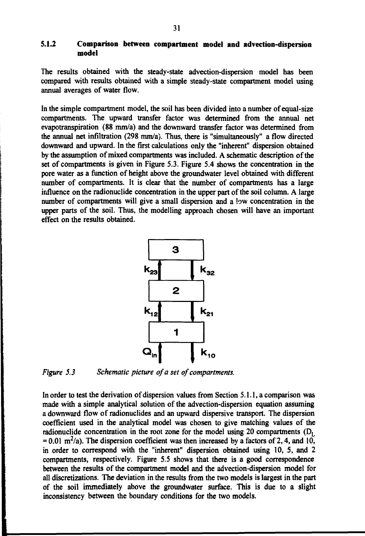#### **5.1.2 Comparison between compartment model and advection-dispersion model**

The results obtained with the steady-state advection-dispersion model has been compared with results obtained with a simple steady-state compartment model using annual averages of water flow.

In the simple compartment model, the soil has been divided into a number of equal-size compartments. The upward transfer factor was determined from the annual net evapotranspiration (88 mm/a) and the downward transfer factor was determined from the annual net infiltration (298 mm/a). Thus, there is "simultaneously" a flow directed downward and upward. In the first calculations only the "inherent" dispersion obtained by the assumption of mixed compartments was included. A schematic description of the set of compartments is given in Figure 5.3. Figure 5.4 shows the concentration in the pore water as a function of height above the groundwater level obtained with different number of compartments. It is clear that the number of compartments has a large influence on the radionuclide concentration in the upper part of the soil column. A large number of compartments will give a small dispersion and a low concentration in the upper parts of the soil. Thus, the modelling approach chosen will have an important effect on the results obtained.





In order to test the derivation of dispersion values from Section 5.1.1, a comparison was made with a simple analytical solution of the advection-dispersion equation assuming a downward flow of radionuclides and an upward dispersive transport. The dispersion coefficient used in the analytical model was chosen to give matching values of the radionuclide concentration in the root zone for the model using 20 compartments  $(D<sub>t</sub>)$  $= 0.01$  m<sup>2</sup>/a). The dispersion coefficient was then increased by a factors of 2, 4, and 10, in order to correspond with the "inherent" dispersion obtained using 10, 5, and 2 compartments, respectively. Figure 5.5 shows that there is a good correspondence between the results of the compartment model and the advection-dispersion model for all discretizations. The deviation in the results from the two models is largest in the part of the soil immediately above the groundwater surface. This is due to a slight inconsistency between the boundary conditions for the two models.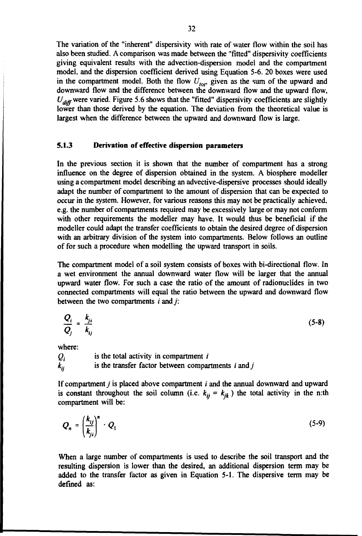The variation of the "inherent" dispersivity with rate of water flow within the soil has also been studied. A comparison was made between the "fitted" dispersivity coefficients giving equivalent results with the advection-dispersion model and the compartment model, and the dispersion coefficient derived using Equation 5-6. 20 boxes were used in the compartment model. Both the flow  $U_{\text{tot}}$  given as the sum of the upward and downward flow and the difference between the downward flow and the upward flow,  $U_{diff}$  were varied. Figure 5.6 shows that the "fitted" dispersivity coefficients are slightly lower than those derived by the equation. The deviation from the theoretical value is largest when the difference between the upward and downward flow is large.

#### 5.1.3 Derivation of effective dispersion parameters

In the previous section it is shown that the number of compartment has a strong influence on the degree of dispersion obtained in the system. A biosphere modeller using a compartment model describing an advective-dispersive processes should ideally adapt the number of compartment to the amount of dispersion that can be expected to occur in the system. However, for various reasons this may not be practically achieved, e.g. the number of compartments required may be excessively large or may not conform with other requirements the modeller may have. It would thus be beneficial if the modeller could adapt the transfer coefficients to obtain the desired degree of dispersion with an arbitrary division of the system into compartments. Below follows an outline of for such a procedure when modelling the upward transport in soils.

The compartment model of a soil system consists of boxes with bi-directional flow. In a wet environment the annual downward water flow will be larger that the annual upward water flow. For such a case the ratio of the amount of radionuclides in two connected compartments will equal the ratio between the upward and downward flow between the two compartments  $i$  and  $j$ :

$$
\frac{Q_i}{Q_j} = \frac{k_{ji}}{k_{ij}} \tag{5-8}
$$

where:

*Qj* is the total activity in compartment *i*  $k_{ij}$  is the transfer factor between compartments *i* and *j* 

If compartment y is placed above compartment *i* and the annual downward and upward is constant throughout the soil column (i.e.  $k_{ij} = k_{jk}$ ) the total activity in the n:th compartment will be:

$$
Q_n = \left(\frac{k_{ij}}{k_{ji}}\right)^n \cdot Q_1 \tag{5-9}
$$

When a large number of compartments is used to describe the soil transport and the resulting dispersion is lower than the desired, an additional dispersion term may be added to the transfer factor as given in Equation 5-1. The dispersive term may be defined as: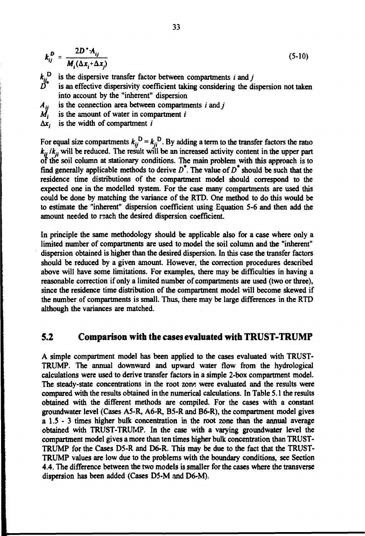$$
k_{ij}^D = \frac{2D^* A_{ij}}{M_i(\Delta x_i + \Delta x_j)}
$$
 (5-10)

*kj\** **is the dispersive transfer factor between compartments** *i* **and/**

is an effective dispersivity coefficient taking considering the dispersion not taken **into account by the "inherent" dispersion**

is the connection area between compartments *i* and *i*  $A_{ij}$ 

- *ii*.  **is the amount of water in compartment** *i*
- **Ax; is the width of compartment** *i*

For equal size compartments  $k_{ii}^{\text{D}} = k_{ii}^{\text{D}}$ . By adding a term to the transfer factors the ratio **£-•** *Ikjj* **will be reduced. The result will be an increased activity content in the upper part of the soil column at stationary conditions. The main problem with this approach is to find generally applicable methods to derive** *D\*.* **The value of** *D\** **should be such that the residence time distributions of the compartment model should correspond to the expected one in the modelled system. For the case many compartments are used this could be done by matching the variance of the RTD. One method to do this would be to estimate the "inherent" dispersion coefficient using Equation 5-6 and then add the amount needed to reach the desired dispersion coefficient.**

**In principle the same methodology should be applicable also for a case where only a limited number of compartments are used to model the soil column and the "inherent" dispersion obtained is higher than the desired dispersion. In this case the transfer factors should be reduced by a given amount. However, the correction procedures described above will have some limitations. For examples, there may be difficulties in having a reasonable correction if only a limited number of compartments are used (two or three), since the residence time distribution of the compartment model will become skewed if the number of compartments is small. Thus, there may be large differences in the RTD although the variances are matched.**

### **5.2 Comparison with the cases evaluated with TRUST-TRUMP**

**A simple compartment model has been applied to the cases evaluated with TRUST-TRUMP. The annual downward and upward water flow from the hydrological calculations were used to derive transfer factors in a simple 2-box compartment model. The steady-state concentrations in the root zone were evaluated and the results were compared with the results obtained in the numerical calculations. In Table 5.1 the results obtained with the different methods are compiled. For the cases with a constant groundwater level (Cases A5-R, A6-R, B5-R and B6-R), the compartment model gives a 1.5 - 3 times higher bulk concentration in the root zone than the annual average obtained with TRUST-TRUMP. In the case with a varying groundwater level the compartment model gives a more than ten times higher bulk concentration than TRUST-TRUMP for the Cases D5-R and D6-R. This may be due to the fact that the TRUST-TRUMP values are low due to the problems with the boundary conditions, see Section 4.4. The difference between the two models is smaller for the cases where the transverse dispersion has been added (Cases D5-M and D6-M).**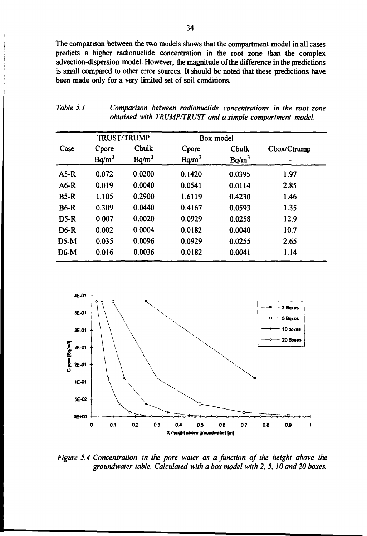The comparison between the two models shows that the compartment model in all cases predicts a higher radionuclide concentration in the root zone than the complex advection-dispersion model. However, the magnitude of the difference in the predictions is small compared to other error sources. It should be noted that these predictions have been made only for a very limited set of soil conditions.

| Table 5.1 |  | Comparison between radionuclide concentrations in the root zone |  |
|-----------|--|-----------------------------------------------------------------|--|
|           |  | obtained with TRUMP/TRUST and a simple compartment model.       |  |

|             | <b>TRUST/TRUMP</b> |                          | Box model         |                   |             |
|-------------|--------------------|--------------------------|-------------------|-------------------|-------------|
| Case        | Cpore<br>$Bq/m^3$  | <b>Cbulk</b><br>$Bq/m^3$ | Cpore<br>$Bq/m^3$ | Cbulk<br>$Bq/m^3$ | Cbox/Ctrump |
| $A5-R$      | 0.072              | 0.0200                   | 0.1420            | 0.0395            | 1.97        |
| $A6-R$      | 0.019              | 0.0040                   | 0.0541            | 0.0114            | 2.85        |
| $B5-R$      | 1.105              | 0.2900                   | 1.6119            | 0.4230            | 1.46        |
| <b>B6-R</b> | 0.309              | 0.0440                   | 0.4167            | 0.0593            | 1.35        |
| $D5-R$      | 0.007              | 0.0020                   | 0.0929            | 0.0258            | 12.9        |
| $D6-R$      | 0.002              | 0.0004                   | 0.0182            | 0.0040            | 10.7        |
| $D5-M$      | 0.035              | 0.0096                   | 0.0929            | 0.0255            | 2.65        |
| $D6-M$      | 0.016              | 0.0036                   | 0.0182            | 0.0041            | 1.14        |



*Figure 5.4 Concentration in the pore water as a junction of the height above the groundwater table. Calculated with a box model with 2, 5,10 and 20 boxes.*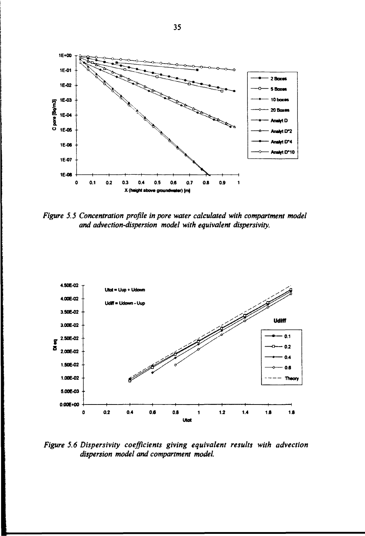

*Figure 5.5 Concentration profile in pore water calculated with compartment model and advection-dispersion model with equivalent dispersivity.*



*Figure 5.6 Dispersivity coefficients giving equivalent results with advection dispersion model and compartment model.*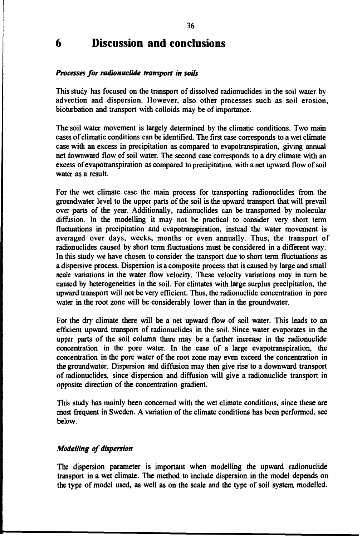# **6 Discussion and conclusions**

#### *Processes for radionuclide transport in soils*

**This study has focused on the transport of dissolved radionuclides in the soil water by advection and dispersion. However, also other processes such as soil erosion, bioturbation and transport with colloids may be of importance.**

**The soil water movement is largely determined by the climatic conditions. Two main cases of climatic conditions can be identified. The first case corresponds to a wet climate case with an excess in precipitation as compared to evapotranspiration, giving annual net downward flow of soil water. The second case corresponds to a dry climate with an excess of evapotranspiration as compared to precipitation, with a net upward flow of soil water as a result.**

**For the wet climate case the main process for transporting radionuclides from the groundwater level to the upper parts of the soil is the upward transport that will prevail over parts of the year. Additionally, radionuclides can be transported by molecular diffusion. In the modelling it may not be practical to consider very short term fluctuations in precipitation and evapotranspiration, instead the water movement is averaged over days, weeks, months or even annually. Thus, the transport of radionuclides caused by short term fluctuations must be considered in a different way. In this study we have chosen to consider the transport due to short term fluctuations as a dispersive process. Dispersion is a composite process that is caused by large and small scale variations in the water flow velocity. These velocity variations may in turn be caused by heterogeneities in the soil. For climates with large surplus precipitation, the upward transport will not be very efficient. Thus, the radionuclide concentration in pore water in the root zone will be considerably lower than in the groundwater.**

**For the dry climate there will be a net upward flow of soil water. This leads to an efficient upward transport of radionuclides in the soil. Since water evaporates in the upper parts of the soil column there may be a further increase in the radionuclide concentration in the pore water. In the case of a large evapotranspiration, the concentration in the pore water of the root zone may even exceed the concentration in the groundwater. Dispersion and diffusion may then give rise to a downward transport of radionuclides, since dispersion and diffusion will give a radionuclide transport in opposite direction of the concentration gradient.**

**This study has mainly been concerned with the wet climate conditions, since these are most frequent in Sweden. A variation of the climate conditions has been performed, see below.**

#### *Modelling of dispersion*

**The dispersion parameter is important when modelling the upward radionuclide transport in a wet climate. The method to include dispersion in the model depends on the type of model used, as well as on the scale and the type of soil system modelled.**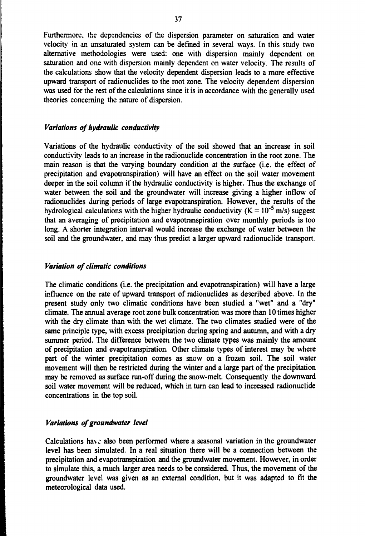Furthermore, the dependencies of the dispersion parameter on saturation and water velocity in an unsaturated system can be defined in several ways. In this study two alternative methodologies were used: one with dispersion mainly dependent on saturation and one with dispersion mainly dependent on water velocity. The results of the calculations show that the velocity dependent dispersion leads to a more effective upward transport of radionuclides to the root zone. The velocity dependent dispersion was used for the rest of the calculations since it is in accordance with the generally used theories concerning the nature of dispersion.

#### *Variations of hydraulic conductivity*

Variations of the hydraulic conductivity of the soil showed that an increase in soil conductivity leads to an increase in the radionuclide concentration in the root zone. The main reason is that the varying boundary condition at the surface (i.e. the effect of precipitation and evapotranspiration) will have an effect on the soil water movement deeper in the soil column if the hydraulic conductivity is higher. Thus the exchange of water between the soil and the groundwater will increase giving a higher inflow of radionuclides during periods of large evapotranspiration. However, the results of the hydrological calculations with the higher hydraulic conductivity ( $K = 10^{-5}$  m/s) suggest that an averaging of precipitation and evapotranspiration over monthly periods is too long. A shorter integration interval would increase the exchange of water between the soil and the groundwater, and may thus predict a larger upward radionuclide transport.

#### *Variation of climatic conditions*

The climatic conditions (i.e. the precipitation and evapotranspiration) will have a large influence on the rate of upward transport of radionuclides as described above. In the present study only two climatic conditions have been studied a "wet" and a "dry" climate. The annual average root zone bulk concentration was more than 10 times higher with the dry climate than with the wet climate. The two climates studied were of the same principle type, with excess precipitation during spring and autumn, and with a dry summer period. The difference between the two climate types was mainly the amount of precipitation and evapotranspiration. Other climate types of interest may be where part of the winter precipitation comes as snow on a frozen soil. The soil water movement will then be restricted during the winter and a large part of the precipitation may be removed as surface run-off during the snow-melt. Consequently the downward soil water movement will be reduced, which in turn can lead to increased radionuclide concentrations in the top soil.

#### *Variations of groundwater level*

Calculations have also been performed where a seasonal variation in the groundwater level has been simulated. In a real situation there will be a connection between the precipitation and evapotranspiration and the groundwater movement. However, in order to simulate this, a much larger area needs to be considered. Thus, the movement of the groundwater level was given as an external condition, but it was adapted to fit the meteorological data used.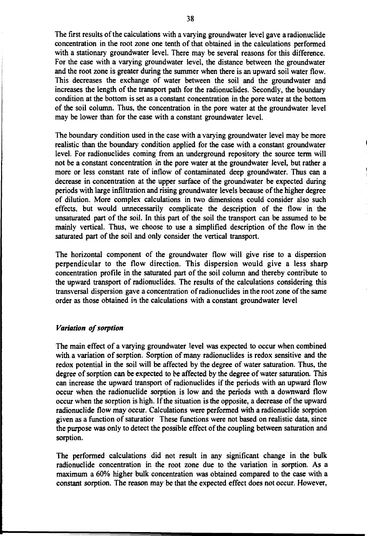The first results of the calculations with a varying groundwater level gave a radionuclide concentration in the root zone one tenth of that obtained in the calculations performed with a stationary groundwater level. There may be several reasons for this difference. For the case with a varying groundwater level, the distance between the groundwater and the root zone is greater during the summer when there is an upward soil water flow. This decreases the exchange of water between the soil and the groundwater and increases the length of the transport path for the radionuclides. Secondly, the boundary condition at the bottom is set as a constant concentration in the pore water at the bottom of the soil column. Thus, the concentration in the pore water at the groundwater level may be lower than for the case with a constant groundwater level.

The boundary condition used in the case with a varying groundwater level may be more realistic than the boundary condition applied for the case with a constant groundwater level. For radionuclides coming from an underground repository the source term will not be a constant concentration in the pore water at the groundwater level, but rather a more or less constant rate of inflow of contaminated deep groundwater. Thus can a decrease in concentration at the upper surface of the groundwater be expected during periods with large infiltration and rising groundwater levels because of the higher degree of dilution. More complex calculations in two dimensions could consider also such effects, but would unnecessarily complicate the description of the flow in the unsaturated part of the soil. In this part of the soil the transport can be assumed to be mainly vertical. Thus, we choose to use a simplified description of the flow in the saturated part of the soil and only consider the vertical transport.

The horizontal component of the groundwater flow will give rise to a dispersion perpendicular to the flow direction. This dispersion would give a less sharp concentration profile in the saturated part of the soil column and thereby contribute to the upward transport of radionuclides. The results of the calculations considering this transversal dispersion gave a concentration of radionuclides in the root zone of the same order as those obtained in the calculations with a constant groundwater level

#### *Variation of sorption*

The main effect of a varying groundwater level was expected to occur when combined with a variation of sorption. Sorption of many radionuclides is redox sensitive and the redox potential in the soil will be affected by the degree of water saturation. Thus, the degree of sorption can be expected to be affected by the degree of water saturation. This can increase the upward transport of radionuclides if the periods with an upward flow occur when the radionuclide sorption is low and the periods with a downward flow occur when the sorption is high. If the situation is the opposite, a decrease of the upward radionuclide flow may occur. Calculations were performed with a radionuclide sorption given as a function of saturatior These functions were not based on realistic data, since the purpose was only to detect the possible effect of the coupling between saturation and sorption.

The performed calculations did not result in any significant change in the bulk radionuclide concentration in the root zone due to the variation in sorption. As a maximum a 60% higher bulk concentration was obtained compared to the case with a constant sorption. The reason may be that the expected effect does not occur. However,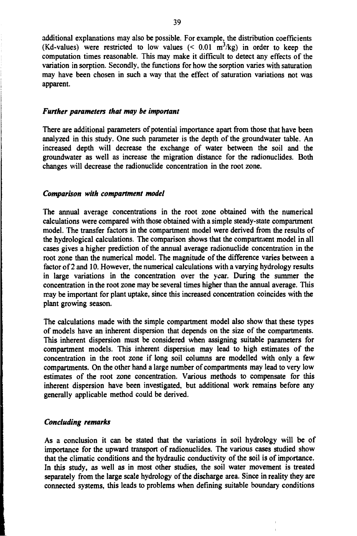additional explanations may also be possible. For example, the distribution coefficients (Kd-values) were restricted to low values  $(< 0.01 \text{ m}^3/\text{kg})$  in order to keep the computation times reasonable. This may make it difficult to detect any effects of the variation in sorption. Secondly, the functions for how the sorption varies with saturation may have been chosen in such a way that the effect of saturation variations not was apparent.

#### *Further parameters that may be important*

There are additional parameters of potential importance apart from those that have been analyzed in this study. One such parameter is the depth of the groundwater table. An increased depth will decrease the exchange of water between the soil and the groundwater as well as increase the migration distance for the radionuclides. Both changes will decrease the radionuclide concentration in the root zone.

#### *Comparison with compartment model*

The annual average concentrations in the root zone obtained with the numerical calculations were compared with those obtained with a simple steady-state compartment model. The transfer factors in the compartment model were derived from the results of the hydrological calculations. The comparison shows that the compartment model in all cases gives a higher prediction of the annual average radionuclide concentration in the root zone than the numerical model. The magnitude of the difference varies between a factor of 2 and 10. However, the numerical calculations with a varying hydrology results in large variations in the concentration over the year. During the summer the concentration in the root zone may be several times higher than the annual average. This may be important for plant uptake, since this increased concentration coincides with the plant growing season.

The calculations made with the simple compartment model also show that these types of models have an inherent dispersion that depends on the size of the compartments. This inherent dispersion must be considered when assigning suitable parameters for compartment models. This inherent dispersion may lead to high estimates of the concentration in the root zone if long soil columns are modelled with only a few compartments. On the other hand a large number of compartments may lead to very low estimates of the root zone concentration. Various methods to compensate for this inherent dispersion have been investigated, but additional work remains before any generally applicable method could be derived.

#### *Concluding remarks*

As a conclusion it can be stated that the variations in soil hydrology will be of importance for the upward transport of radionuclides. The various cases studied show that the climatic conditions and the hydraulic conductivity of the soil is of importance. In this study, as well as in most other studies, the soil water movement is treated separately from the large scale hydrology of the discharge area. Since in reality they are connected systems, this leads to problems when defining suitable boundary conditions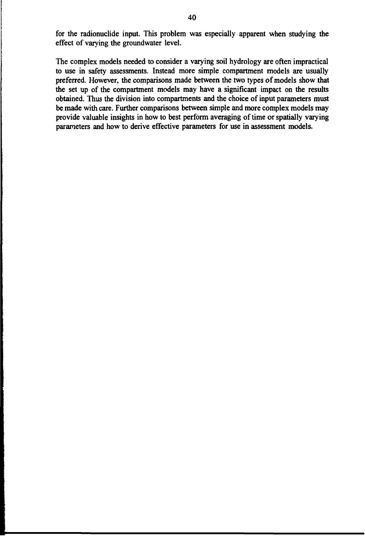for the radionuclide input. This problem was especially apparent when studying the effect of varying the groundwater level.

The complex models needed to consider a varying soil hydrology are often impractical to use in safety assessments. Instead more simple compartment models are usually preferred. However, the comparisons made between the two types of models show that the set up of the compartment models may have a significant impact on the results obtained. Thus the division into compartments and the choice of input parameters must be made with care. Further comparisons between simple and more complex models may provide valuable insights in how to best perform averaging of time or spatially varying parameters and how to derive effective parameters for use in assessment models.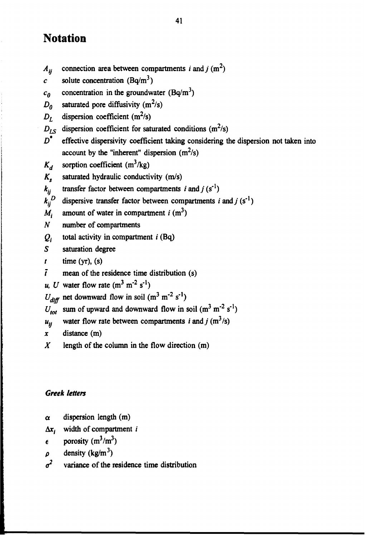# **Notation**

- $A_{ii}$  connection area between compartments *i* and *j* (m<sup>2</sup>)
- *c* solute concentration  $(Bq/m^3)$
- $c_0$  concentration in the groundwater (Bq/m<sup>3</sup>)
- $D_0$  saturated pore diffusivity (m<sup>2</sup>/s)
- $D_L$  dispersion coefficient (m<sup>2</sup>/s)
- $D_{LS}$  dispersion coefficient for saturated conditions (m<sup>2</sup>/s)
- *D\** effective dispersivity coefficient taking considering the dispersion not taken into account by the "inherent" dispersion  $(m^2/s)$
- $K_d$  sorption coefficient (m<sup>3</sup>/kg)
- *Ks* saturated hydraulic conductivity (m/s)
- $k_{ii}$  transfer factor between compartments *i* and *j* (s<sup>-1</sup>)
- $k_{ii}^D$  dispersive transfer factor between compartments *i* and *j* (s<sup>-1</sup>)
- *M{* amount of water in compartment  $i$  (m<sup>3</sup>)
- *N* number of compartments
- $Q_i$ total activity in compartment  $i$  (Bq)
- *S* saturation degree
- $t$  time (yr), (s)
- $\bar{t}$  mean of the residence time distribution (s)
- *u*, *U* water flow rate  $(m^3 m^2 s^1)$
- $U_{diff}$  net downward flow in soil (m<sup>3</sup> m<sup>-2</sup> s<sup>-1</sup>)
- $U_{\text{tot}}$  sum of upward and downward flow in soil (m<sup>3</sup> m<sup>-2</sup> s<sup>-1</sup>)
- $u_{ij}$  water flow rate between compartments *i* and *j* (m<sup>3</sup>/s)
- *x* distance (m)
- *X* length of the column in the flow direction (m)

# *Greek letters*

- $\alpha$  dispersion length (m)
- Ax; width of compartment *i*
- $\epsilon$  porosity (m<sup>3</sup>/m<sup>3</sup>)
- $\rho$  density (kg/m<sup>3</sup>)
- *a 2* variance of the residence time distribution